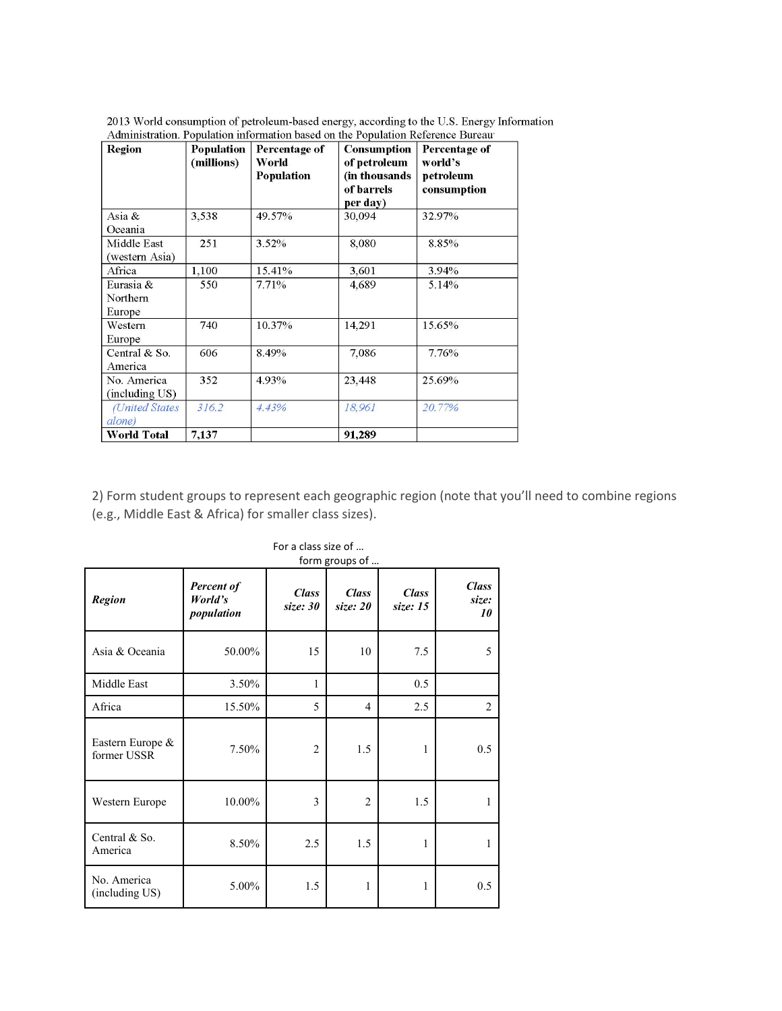| <b>Region</b>        | Population | Percentage of | <b>Consumption</b> | Percentage of |
|----------------------|------------|---------------|--------------------|---------------|
|                      | (millions) | World         | of petroleum       | world's       |
|                      |            | Population    | (in thousands      | petroleum     |
|                      |            |               | of barrels         | consumption   |
|                      |            |               | per day)           |               |
| Asia &               | 3,538      | 49.57%        | 30,094             | 32.97%        |
| Oceania              |            |               |                    |               |
| Middle East          | 251        | $3.52\%$      | 8,080              | 8.85%         |
| (western Asia)       |            |               |                    |               |
| Africa               | 1.100      | 15.41%        | 3.601              | 3.94%         |
| Eurasia &            | 550        | 7.71%         | 4,689              | 5.14%         |
| Northern             |            |               |                    |               |
| Europe               |            |               |                    |               |
| Western              | 740        | 10.37%        | 14,291             | 15.65%        |
| Europe               |            |               |                    |               |
| Central & So.        | 606        | 8.49%         | 7,086              | 7.76%         |
| America              |            |               |                    |               |
| No. America          | 352        | 4.93%         | 23,448             | 25.69%        |
| (including US)       |            |               |                    |               |
| <b>United States</b> | 316.2      | 4.43%         | 18,961             | 20.77%        |
| alone)               |            |               |                    |               |
| <b>World Total</b>   | 7,137      |               | 91,289             |               |

2013 World consumption of petroleum-based energy, according to the U.S. Energy Information<br>Administration. Population information based on the Population Reference Bureau

2) Form student groups to represent each geographic region (note that you'll need to combine regions (e.g., Middle East & Africa) for smaller class sizes).

|                                 | form groups of                      |                          |                            |                          |                             |  |  |
|---------------------------------|-------------------------------------|--------------------------|----------------------------|--------------------------|-----------------------------|--|--|
| <b>Region</b>                   | Percent of<br>World's<br>population | <b>Class</b><br>size: 30 | <b>Class</b><br>size: $20$ | <b>Class</b><br>size: 15 | <b>Class</b><br>size:<br>10 |  |  |
| Asia & Oceania                  | 50.00%                              | 15                       | 10                         | 7.5                      | 5                           |  |  |
| Middle East                     | 3.50%                               | 1                        |                            | 0.5                      |                             |  |  |
| Africa                          | 15.50%                              | 5                        | $\overline{4}$             | 2.5                      | 2                           |  |  |
| Eastern Europe &<br>former USSR | 7.50%                               | $\overline{2}$           | 1.5                        | 1                        | 0.5                         |  |  |
| Western Europe                  | 10.00%                              | 3                        | $\overline{c}$             | 1.5                      | 1                           |  |  |
| Central & So.<br>America        | 8.50%                               | 2.5                      | 1.5                        | 1                        | 1                           |  |  |
| No. America<br>(including US)   | 5.00%                               | 1.5                      | 1                          | 1                        | 0.5                         |  |  |

For a class size of …